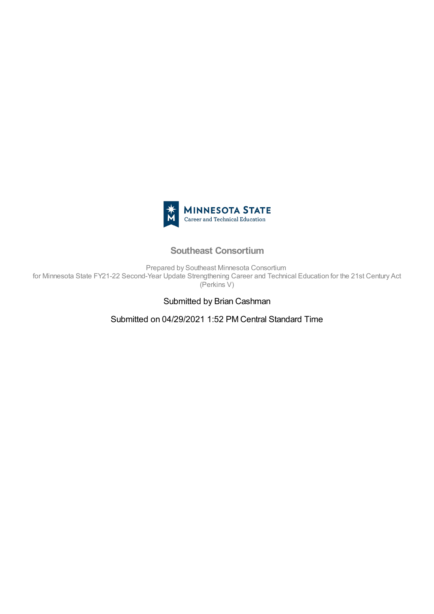

## **Southeast Consortium**

Prepared by Southeast Minnesota Consortium for Minnesota State FY21-22 Second-Year Update Strengthening Career and Technical Education for the 21st Century Act (Perkins V)

## Submitted by Brian Cashman

Submitted on 04/29/2021 1:52 PM Central Standard Time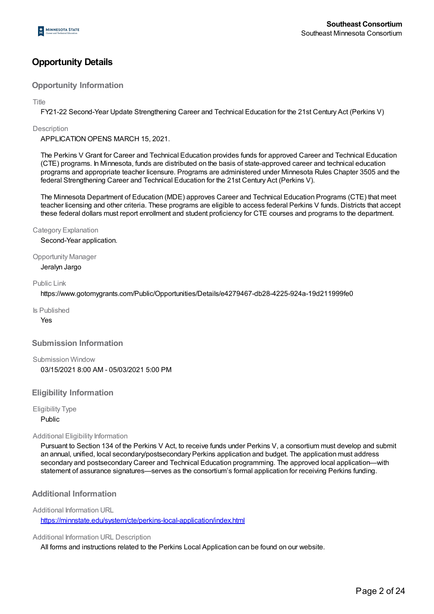## **Opportunity Details**

### **Opportunity Information**

Title

FY21-22 Second-Year Update Strengthening Career and Technical Education for the 21st Century Act (Perkins V)

#### **Description**

APPLICATION OPENS MARCH 15, 2021.

The Perkins V Grant for Career and Technical Education provides funds for approved Career and Technical Education (CTE) programs. In Minnesota, funds are distributed on the basis of state-approved career and technical education programs and appropriate teacher licensure. Programs are administered under Minnesota Rules Chapter 3505 and the federal Strengthening Career and Technical Education for the 21st Century Act (Perkins V).

The Minnesota Department of Education (MDE) approves Career and Technical Education Programs (CTE) that meet teacher licensing and other criteria. These programs are eligible to access federal Perkins V funds. Districts that accept these federal dollars must report enrollment and student proficiency for CTE courses and programs to the department.

#### Category Explanation

Second-Year application.

#### Opportunity Manager

Jeralyn Jargo

#### Public Link

https://www.gotomygrants.com/Public/Opportunities/Details/e4279467-db28-4225-924a-19d211999fe0

Is Published

Yes

#### **Submission Information**

Submission Window 03/15/2021 8:00 AM - 05/03/2021 5:00 PM

#### **Eligibility Information**

Eligibility Type

Public

#### Additional Eligibility Information

Pursuant to Section 134 of the Perkins V Act, to receive funds under Perkins V, a consortium must develop and submit an annual, unified, local secondary/postsecondary Perkins application and budget. The application must address secondary and postsecondary Career and Technical Education programming. The approved local application—with statement of assurance signatures—serves as the consortium's formal application for receiving Perkins funding.

#### **Additional Information**

#### Additional Information URL

https://minnstate.edu/system/cte/perkins-local-application/index.html

#### Additional Information URL Description

All forms and instructions related to the Perkins Local Application can be found on our website.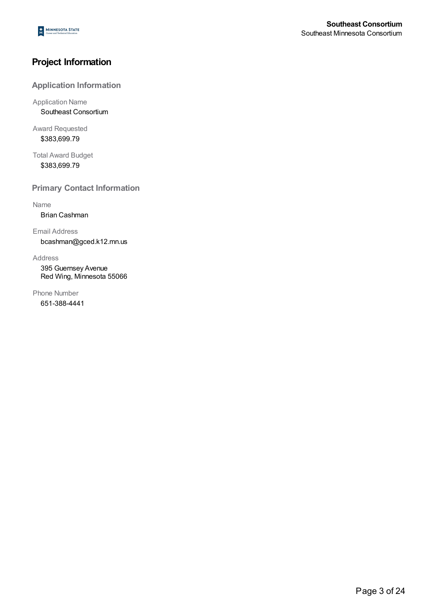## **Project Information**

### **Application Information**

Application Name Southeast Consortium

Award Requested \$383,699.79

Total Award Budget \$383,699.79

**Primary Contact Information**

Name

Brian Cashman

Email Address bcashman@gced.k12.mn.us

Address

395 Guernsey Avenue Red Wing, Minnesota 55066

Phone Number 651-388-4441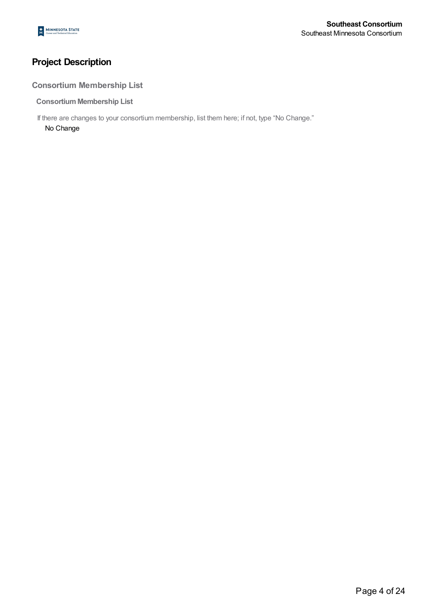# **Project Description**

## **Consortium Membership List**

**ConsortiumMembership List**

If there are changes to your consortium membership, list them here; if not, type "No Change."

No Change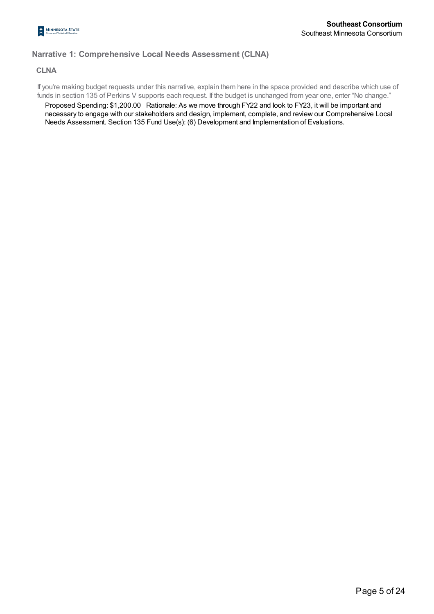## **Narrative 1: Comprehensive Local Needs Assessment (CLNA)**

#### **CLNA**

If you're making budget requests under this narrative, explain them here in the space provided and describe which use of funds in section 135 of Perkins V supports each request. If the budget is unchanged from year one, enter "No change."

Proposed Spending: \$1,200.00 Rationale: As we move through FY22 and look to FY23, it will be important and necessary to engage with our stakeholders and design, implement, complete, and review our Comprehensive Local Needs Assessment. Section 135 Fund Use(s): (6) Development and Implementation of Evaluations.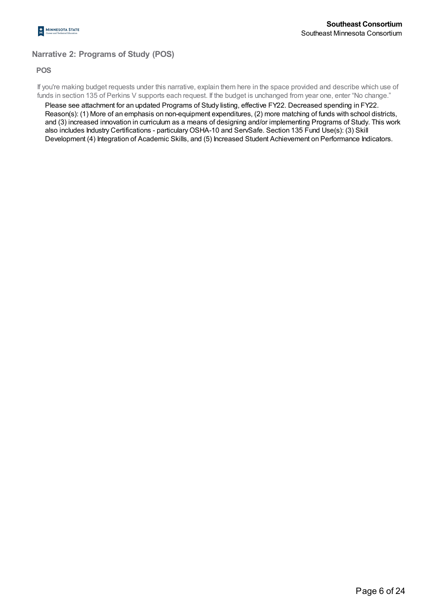## **Narrative 2: Programs of Study (POS)**

#### **POS**

If you're making budget requests under this narrative, explain them here in the space provided and describe which use of funds in section 135 of Perkins V supports each request. If the budget is unchanged from year one, enter "No change."

Please see attachment for an updated Programs of Study listing, effective FY22. Decreased spending in FY22. Reason(s): (1) More of an emphasis on non-equipment expenditures, (2) more matching of funds with school districts, and (3) increased innovation in curriculum as a means of designing and/or implementing Programs of Study. This work also includes Industry Certifications - particularyOSHA-10 and ServSafe. Section 135 Fund Use(s): (3) Skill Development (4) Integration of Academic Skills, and (5) Increased Student Achievement on Performance Indicators.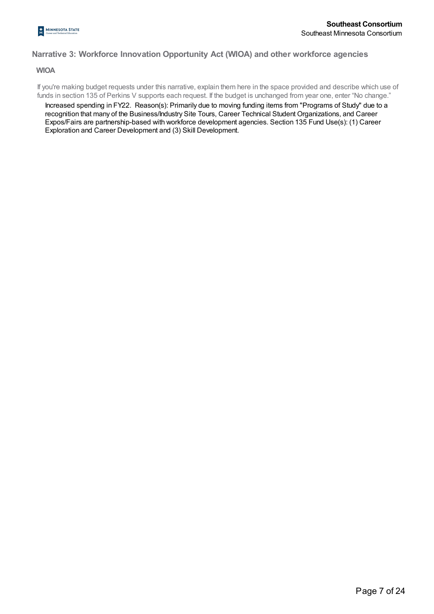### **Narrative 3: Workforce Innovation Opportunity Act (WIOA) and other workforce agencies**

**WIOA**

If you're making budget requests under this narrative, explain them here in the space provided and describe which use of funds in section 135 of Perkins V supports each request. If the budget is unchanged from year one, enter "No change."

Increased spending in FY22. Reason(s): Primarily due to moving funding items from "Programs of Study" due to a recognition that many of the Business/Industry Site Tours, Career Technical Student Organizations, and Career Expos/Fairs are partnership-based with workforce development agencies. Section 135 Fund Use(s): (1) Career Exploration and Career Development and (3) Skill Development.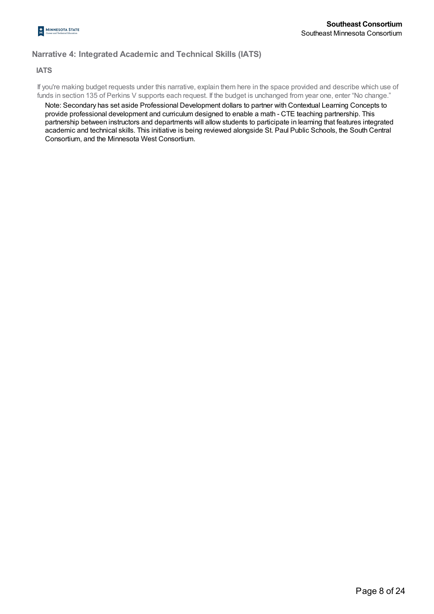## **Narrative 4: Integrated Academic and Technical Skills (IATS)**

#### **IATS**

If you're making budget requests under this narrative, explain them here in the space provided and describe which use of funds in section 135 of Perkins V supports each request. If the budget is unchanged from year one, enter "No change."

Note: Secondary has set aside Professional Development dollars to partner with Contextual Learning Concepts to provide professional development and curriculum designed to enable a math - CTE teaching partnership. This partnership between instructors and departments will allow students to participate in learning that features integrated academic and technical skills. This initiative is being reviewed alongside St. Paul Public Schools, the South Central Consortium, and the Minnesota West Consortium.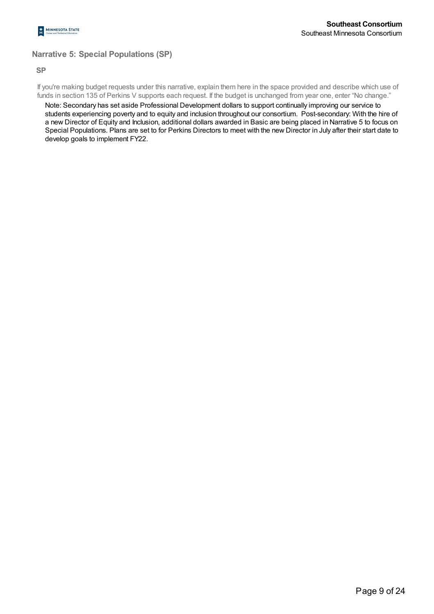## **Narrative 5: Special Populations (SP)**

#### **SP**

If you're making budget requests under this narrative, explain them here in the space provided and describe which use of funds in section 135 of Perkins V supports each request. If the budget is unchanged from year one, enter "No change."

Note: Secondary has set aside Professional Development dollars to support continually improving our service to students experiencing poverty and to equity and inclusion throughout our consortium. Post-secondary: With the hire of a new Director of Equity and Inclusion, additional dollars awarded in Basic are being placed in Narrative 5 to focus on Special Populations. Plans are set to for Perkins Directors to meet with the new Director in July after their start date to develop goals to implement FY22.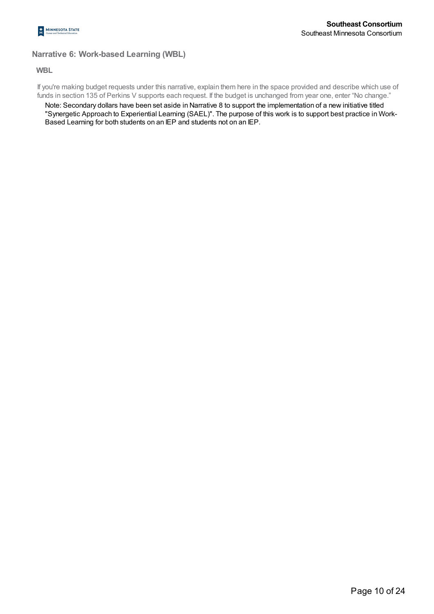## **Narrative 6: Work-based Learning (WBL)**

#### **WBL**

If you're making budget requests under this narrative, explain them here in the space provided and describe which use of funds in section 135 of Perkins V supports each request. If the budget is unchanged from year one, enter "No change."

Note: Secondary dollars have been set aside in Narrative 8 to support the implementation of a new initiative titled "Synergetic Approach to Experiential Learning (SAEL)". The purpose of this work is to support best practice in Work-Based Learning for both students on an IEP and students not on an IEP.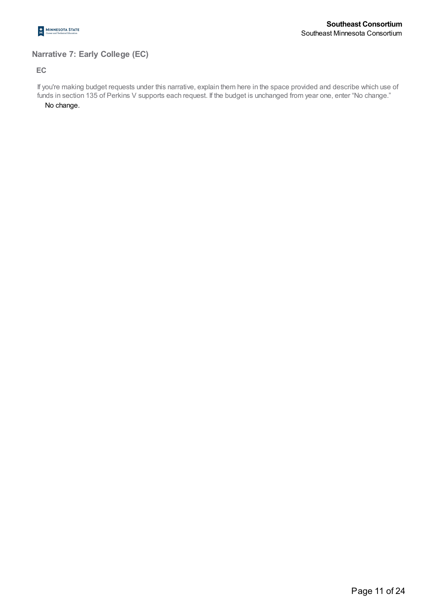

## **Narrative 7: Early College (EC)**

### **EC**

If you're making budget requests under this narrative, explain them here in the space provided and describe which use of funds in section 135 of Perkins V supports each request. If the budget is unchanged from year one, enter "No change."

No change.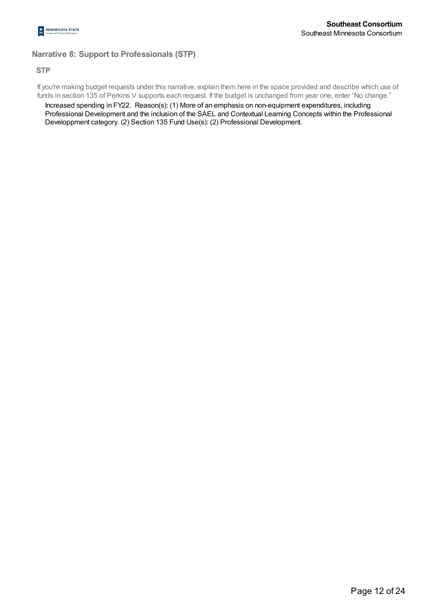## **Narrative 8: Support to Professionals (STP)**

### **STP**

If you're making budget requests under this narrative, explain them here in the space provided and describe which use of funds in section 135 of Perkins V supports each request. If the budget is unchanged from year one, enter "No change."

Increased spending in FY22. Reason(s): (1) More of an emphasis on non-equipment expenditures, including Professional Development and the inclusion of the SAEL and Contextual Learning Concepts within the Professional Developpment category. (2) Section 135 Fund Use(s): (2) Professional Development.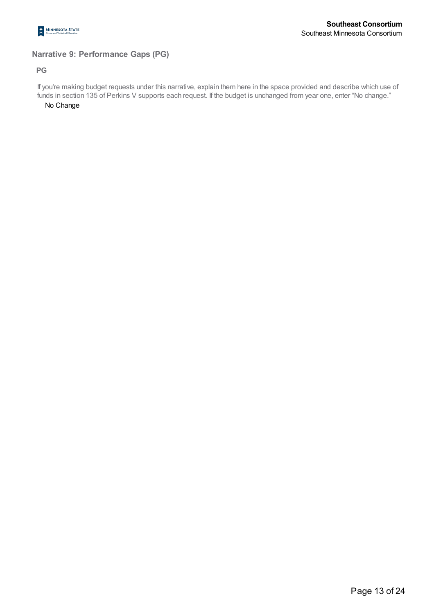

## **Narrative 9: Performance Gaps (PG)**

#### **PG**

If you're making budget requests under this narrative, explain them here in the space provided and describe which use of funds in section 135 of Perkins V supports each request. If the budget is unchanged from year one, enter "No change."

No Change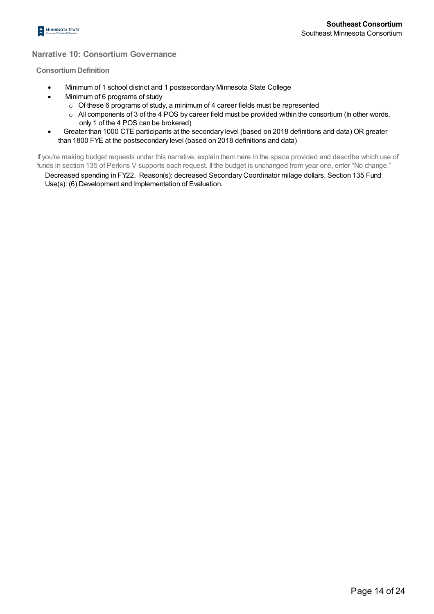

### **Narrative 10: Consortium Governance**

#### **ConsortiumDefinition**

- · Minimum of 1 school district and 1 postsecondary Minnesota State College
	- · Minimum of 6 programs of study
		- o Of these 6 programs of study, a minimum of 4 career fields must be represented
		- $\circ$  All components of 3 of the 4 POS by career field must be provided within the consortium (In other words, only 1 of the 4 POS can be brokered)
- · Greater than 1000 CTE participants at the secondary level (based on 2018 definitions and data) OR greater than 1800 FYE at the postsecondary level (based on 2018 definitions and data)

If you're making budget requests under this narrative, explain them here in the space provided and describe which use of funds in section 135 of Perkins V supports each request. If the budget is unchanged from year one, enter "No change."

Decreased spending in FY22. Reason(s): decreased Secondary Coordinator milage dollars. Section 135 Fund Use(s): (6) Development and Implementation of Evaluation.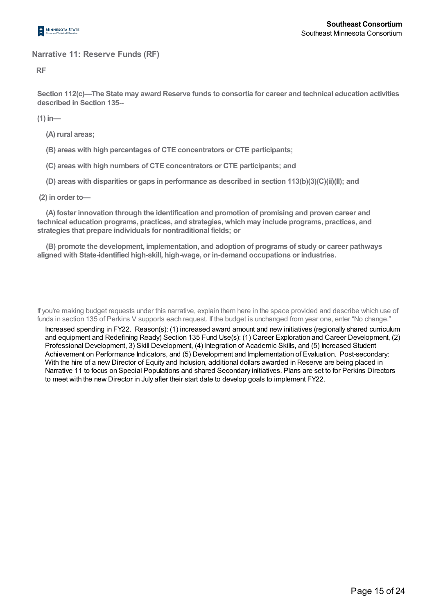

## **Narrative 11: Reserve Funds (RF)**

**RF**

**Section 112(c)—The State may award Reserve funds to consortia for career and technical education activities described in Section 135--**

**(1) in—**

**(A) rural areas;**

**(B) areas with high percentages of CTE concentrators or CTE participants;**

**(C) areas with high numbers of CTE concentrators or CTE participants; and**

**(D) areas with disparities or gaps in performance as described in section 113(b)(3)(C)(ii)(II); and**

**(2) in order to—**

**(A) foster innovation through the identification and promotion of promising and proven career and technical education programs, practices, and strategies, which may include programs, practices, and strategies that prepare individuals for nontraditional fields; or**

**(B) promote the development, implementation, and adoption of programs of study or career pathways aligned with State-identified high-skill, high-wage, or in-demand occupations or industries.**

If you're making budget requests under this narrative, explain them here in the space provided and describe which use of funds in section 135 of Perkins V supports each request. If the budget is unchanged from year one, enter "No change."

Increased spending in FY22. Reason(s): (1) increased award amount and new initiatives (regionally shared curriculum and equipment and Redefining Ready) Section 135 Fund Use(s): (1) Career Exploration and Career Development, (2) Professional Development, 3) Skill Development, (4) Integration of Academic Skills, and (5) Increased Student Achievement on Performance Indicators, and (5) Development and Implementation of Evaluation. Post-secondary: With the hire of a new Director of Equity and Inclusion, additional dollars awarded in Reserve are being placed in Narrative 11 to focus on Special Populations and shared Secondary initiatives. Plans are set to for Perkins Directors to meet with the new Director in July after their start date to develop goals to implement FY22.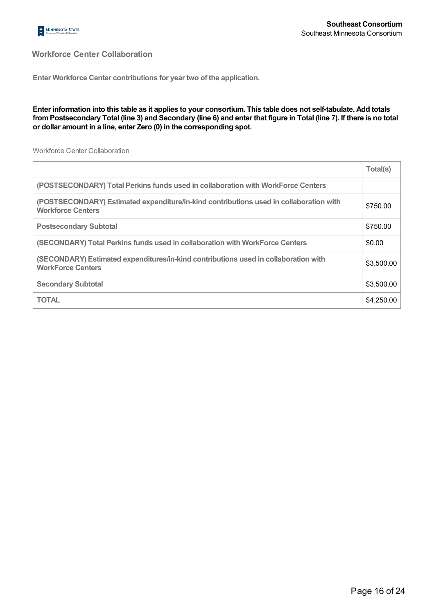

## **Workforce Center Collaboration**

**Enter Workforce Center contributions for year two of the application.**

#### Enter information into this table as it applies to your consortium. This table does not self-tabulate. Add totals from Postsecondary Total (line 3) and Secondary (line 6) and enter that figure in Total (line 7). If there is no total **or dollar amount in a line, enter Zero (0) in the corresponding spot.**

Workforce Center Collaboration

|                                                                                                                    | Total(s)   |
|--------------------------------------------------------------------------------------------------------------------|------------|
| (POSTSECONDARY) Total Perkins funds used in collaboration with WorkForce Centers                                   |            |
| (POSTSECONDARY) Estimated expenditure/in-kind contributions used in collaboration with<br><b>Workforce Centers</b> | \$750.00   |
| <b>Postsecondary Subtotal</b>                                                                                      | \$750.00   |
| (SECONDARY) Total Perkins funds used in collaboration with WorkForce Centers                                       | \$0.00     |
| (SECONDARY) Estimated expenditures/in-kind contributions used in collaboration with<br><b>WorkForce Centers</b>    | \$3,500.00 |
| <b>Secondary Subtotal</b>                                                                                          | \$3,500.00 |
| <b>TOTAL</b>                                                                                                       | \$4,250.00 |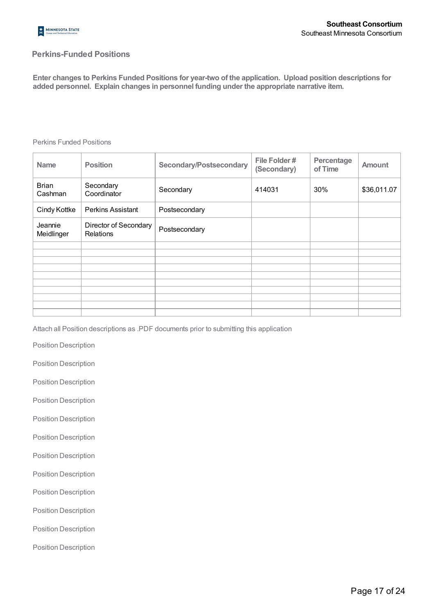

## **Perkins-Funded Positions**

**Enter changes to Perkins Funded Positions for year-two of the application. Upload position descriptions for added personnel. Explain changes in personnel funding under the appropriate narrative item.**

#### Perkins Funded Positions

| <b>Name</b>             | <b>Position</b>                    | <b>Secondary/Postsecondary</b> | File Folder#<br>(Secondary) | Percentage<br>of Time | <b>Amount</b> |
|-------------------------|------------------------------------|--------------------------------|-----------------------------|-----------------------|---------------|
| <b>Brian</b><br>Cashman | Secondary<br>Coordinator           | Secondary                      | 414031                      | 30%                   | \$36,011.07   |
| Cindy Kottke            | <b>Perkins Assistant</b>           | Postsecondary                  |                             |                       |               |
| Jeannie<br>Meidlinger   | Director of Secondary<br>Relations | Postsecondary                  |                             |                       |               |
|                         |                                    |                                |                             |                       |               |
|                         |                                    |                                |                             |                       |               |
|                         |                                    |                                |                             |                       |               |
|                         |                                    |                                |                             |                       |               |
|                         |                                    |                                |                             |                       |               |
|                         |                                    |                                |                             |                       |               |
|                         |                                    |                                |                             |                       |               |
|                         |                                    |                                |                             |                       |               |
|                         |                                    |                                |                             |                       |               |

Attach all Position descriptions as .PDF documents prior to submitting this application

Position Description

Position Description

Position Description

Position Description

Position Description

Position Description

Position Description

Position Description

Position Description

Position Description

Position Description

Position Description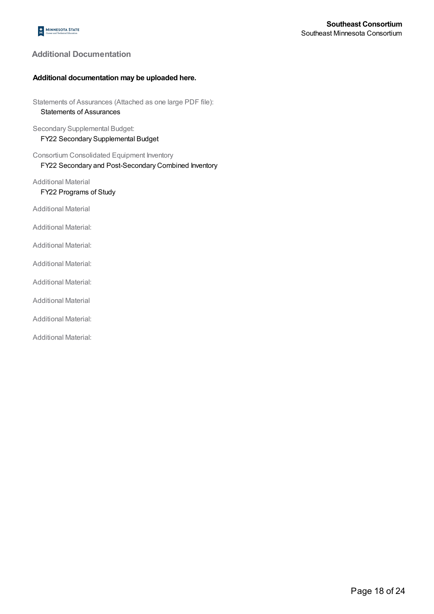## **Additional Documentation**

#### **Additional documentation may be uploaded here.**

Statements of Assurances (Attached as one large PDF file): Statements of Assurances

Secondary Supplemental Budget: FY22 Secondary Supplemental Budget

Consortium Consolidated Equipment Inventory FY22 Secondary and Post-Secondary Combined Inventory

Additional Material

FY22 Programs of Study

Additional Material

Additional Material:

Additional Material:

Additional Material:

Additional Material:

Additional Material

Additional Material:

Additional Material: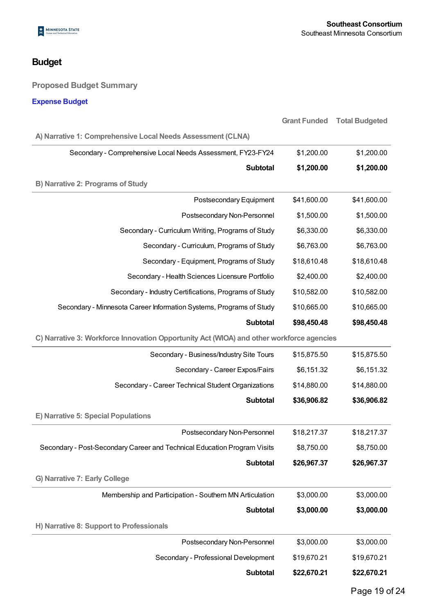# **Budget**

## **Proposed Budget Summary**

## **Expense Budget**

|                                                                          | <b>Grant Funded</b>                                                                      | <b>Total Budgeted</b> |  |  |  |
|--------------------------------------------------------------------------|------------------------------------------------------------------------------------------|-----------------------|--|--|--|
| A) Narrative 1: Comprehensive Local Needs Assessment (CLNA)              |                                                                                          |                       |  |  |  |
| Secondary - Comprehensive Local Needs Assessment, FY23-FY24              | \$1,200.00                                                                               | \$1,200.00            |  |  |  |
| <b>Subtotal</b>                                                          | \$1,200.00                                                                               | \$1,200.00            |  |  |  |
| <b>B) Narrative 2: Programs of Study</b>                                 |                                                                                          |                       |  |  |  |
| Postsecondary Equipment                                                  | \$41,600.00                                                                              | \$41,600.00           |  |  |  |
| Postsecondary Non-Personnel                                              | \$1,500.00                                                                               | \$1,500.00            |  |  |  |
| Secondary - Curriculum Writing, Programs of Study                        | \$6,330.00                                                                               | \$6,330.00            |  |  |  |
| Secondary - Curriculum, Programs of Study                                | \$6,763.00                                                                               | \$6,763.00            |  |  |  |
| Secondary - Equipment, Programs of Study                                 | \$18,610.48                                                                              | \$18,610.48           |  |  |  |
| Secondary - Health Sciences Licensure Portfolio                          | \$2,400.00                                                                               | \$2,400.00            |  |  |  |
| Secondary - Industry Certifications, Programs of Study                   | \$10,582.00                                                                              | \$10,582.00           |  |  |  |
| Secondary - Minnesota Career Information Systems, Programs of Study      | \$10,665.00                                                                              | \$10,665.00           |  |  |  |
| <b>Subtotal</b>                                                          | \$98,450.48                                                                              | \$98,450.48           |  |  |  |
|                                                                          | C) Narrative 3: Workforce Innovation Opportunity Act (WIOA) and other workforce agencies |                       |  |  |  |
| Secondary - Business/Industry Site Tours                                 | \$15,875.50                                                                              | \$15,875.50           |  |  |  |
| Secondary - Career Expos/Fairs                                           | \$6,151.32                                                                               | \$6,151.32            |  |  |  |
| Secondary - Career Technical Student Organizations                       | \$14,880.00                                                                              | \$14,880.00           |  |  |  |
| <b>Subtotal</b>                                                          | \$36,906.82                                                                              | \$36,906.82           |  |  |  |
| E) Narrative 5: Special Populations                                      |                                                                                          |                       |  |  |  |
| Postsecondary Non-Personnel                                              | \$18,217.37                                                                              | \$18,217.37           |  |  |  |
| Secondary - Post-Secondary Career and Technical Education Program Visits | \$8,750.00                                                                               | \$8,750.00            |  |  |  |
| <b>Subtotal</b>                                                          | \$26,967.37                                                                              | \$26,967.37           |  |  |  |
| G) Narrative 7: Early College                                            |                                                                                          |                       |  |  |  |
| Membership and Participation - Southern MN Articulation                  | \$3,000.00                                                                               | \$3,000.00            |  |  |  |
| Subtotal                                                                 | \$3,000.00                                                                               | \$3,000.00            |  |  |  |
| H) Narrative 8: Support to Professionals                                 |                                                                                          |                       |  |  |  |
| Postsecondary Non-Personnel                                              | \$3,000.00                                                                               | \$3,000.00            |  |  |  |
| Secondary - Professional Development                                     | \$19,670.21                                                                              | \$19,670.21           |  |  |  |
| Subtotal                                                                 | \$22,670.21                                                                              | \$22,670.21           |  |  |  |
|                                                                          |                                                                                          |                       |  |  |  |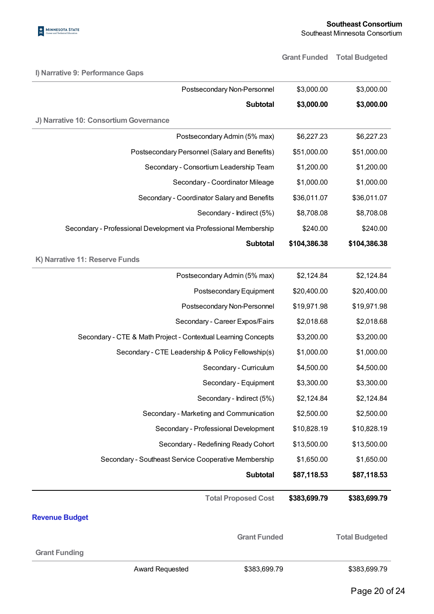

**I) Narrative 9: Performance Gaps**

**Grant Funded Total Budgeted**

| Postsecondary Non-Personnel                                      | \$3,000.00   | \$3,000.00            |
|------------------------------------------------------------------|--------------|-----------------------|
| <b>Subtotal</b>                                                  | \$3,000.00   | \$3,000.00            |
| J) Narrative 10: Consortium Governance                           |              |                       |
| Postsecondary Admin (5% max)                                     | \$6,227.23   | \$6,227.23            |
| Postsecondary Personnel (Salary and Benefits)                    | \$51,000.00  | \$51,000.00           |
| Secondary - Consortium Leadership Team                           | \$1,200.00   | \$1,200.00            |
| Secondary - Coordinator Mileage                                  | \$1,000.00   | \$1,000.00            |
| Secondary - Coordinator Salary and Benefits                      | \$36,011.07  | \$36,011.07           |
| Secondary - Indirect (5%)                                        | \$8,708.08   | \$8,708.08            |
| Secondary - Professional Development via Professional Membership | \$240.00     | \$240.00              |
| <b>Subtotal</b>                                                  | \$104,386.38 | \$104,386.38          |
| K) Narrative 11: Reserve Funds                                   |              |                       |
| Postsecondary Admin (5% max)                                     | \$2,124.84   | \$2,124.84            |
| Postsecondary Equipment                                          | \$20,400.00  | \$20,400.00           |
| Postsecondary Non-Personnel                                      | \$19,971.98  | \$19,971.98           |
| Secondary - Career Expos/Fairs                                   | \$2,018.68   | \$2,018.68            |
| Secondary - CTE & Math Project - Contextual Learning Concepts    | \$3,200.00   | \$3,200.00            |
| Secondary - CTE Leadership & Policy Fellowship(s)                | \$1,000.00   | \$1,000.00            |
| Secondary - Curriculum                                           | \$4,500.00   | \$4,500.00            |
| Secondary - Equipment                                            | \$3,300.00   | \$3,300.00            |
| Secondary - Indirect (5%)                                        | \$2,124.84   | \$2,124.84            |
| Secondary - Marketing and Communication                          | \$2,500.00   | \$2,500.00            |
| Secondary - Professional Development                             | \$10,828.19  | \$10,828.19           |
| Secondary - Redefining Ready Cohort                              | \$13,500.00  | \$13,500.00           |
| Secondary - Southeast Service Cooperative Membership             | \$1,650.00   | \$1,650.00            |
| <b>Subtotal</b>                                                  | \$87,118.53  | \$87,118.53           |
| <b>Total Proposed Cost</b>                                       | \$383,699.79 | \$383,699.79          |
| <b>Revenue Budget</b>                                            |              |                       |
| <b>Grant Funded</b>                                              |              | <b>Total Budgeted</b> |
| <b>Grant Funding</b>                                             |              |                       |
| Award Requested<br>\$383,699.79                                  |              | \$383,699.79          |
|                                                                  |              | Page 20 of 24         |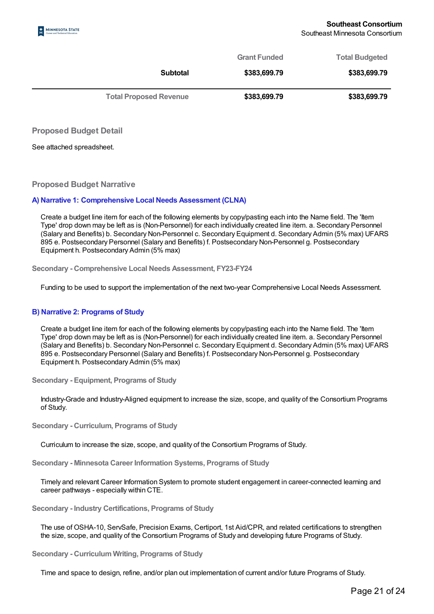| <b>Total Proposed Revenue</b> | \$383,699.79        | \$383,699.79          |
|-------------------------------|---------------------|-----------------------|
| <b>Subtotal</b>               | \$383,699.79        | \$383,699.79          |
|                               | <b>Grant Funded</b> | <b>Total Budgeted</b> |

**Proposed Budget Detail**

See attached spreadsheet.

**Proposed Budget Narrative**

#### **A) Narrative 1: Comprehensive Local Needs Assessment (CLNA)**

Create a budget line item for each of the following elements by copy/pasting each into the Name field. The 'Item Type' drop down may be left as is (Non-Personnel) for each individually created line item. a. Secondary Personnel (Salary and Benefits) b. Secondary Non-Personnel c. Secondary Equipment d. Secondary Admin (5% max) UFARS 895 e. Postsecondary Personnel (Salary and Benefits) f. Postsecondary Non-Personnel g. Postsecondary Equipment h. Postsecondary Admin (5% max)

**Secondary - Comprehensive Local Needs Assessment, FY23-FY24**

Funding to be used to support the implementation of the next two-year Comprehensive Local Needs Assessment.

#### **B) Narrative 2: Programs of Study**

Create a budget line item for each of the following elements by copy/pasting each into the Name field. The 'Item Type' drop down may be left as is (Non-Personnel) for each individually created line item. a. Secondary Personnel (Salary and Benefits) b. Secondary Non-Personnel c. Secondary Equipment d. Secondary Admin (5% max) UFARS 895 e. Postsecondary Personnel (Salary and Benefits) f. Postsecondary Non-Personnel g. Postsecondary Equipment h. Postsecondary Admin (5% max)

**Secondary - Equipment, Programs of Study**

Industry-Grade and Industry-Aligned equipment to increase the size, scope, and quality of the Consortium Programs of Study.

**Secondary - Curriculum, Programs of Study**

Curriculum to increase the size, scope, and quality of the Consortium Programs of Study.

**Secondary - Minnesota Career Information Systems, Programs of Study**

Timely and relevant Career Information System to promote student engagement in career-connected learning and career pathways - especially within CTE.

**Secondary - Industry Certifications, Programs of Study**

The use of OSHA-10, ServSafe, Precision Exams, Certiport, 1st Aid/CPR, and related certifications to strengthen the size, scope, and quality of the Consortium Programs of Study and developing future Programs of Study.

**Secondary - Curriculum Writing, Programs of Study**

Time and space to design, refine, and/or plan out implementation of current and/or future Programs of Study.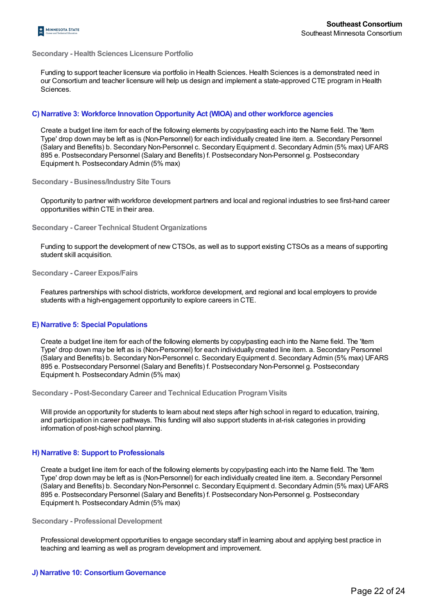#### **Secondary - Health Sciences Licensure Portfolio**

Funding to support teacher licensure via portfolio in Health Sciences. Health Sciences is a demonstrated need in our Consortium and teacher licensure will help us design and implement a state-approved CTE program in Health Sciences.

#### **C) Narrative 3: Workforce Innovation Opportunity Act (WIOA) and other workforce agencies**

Create a budget line item for each of the following elements by copy/pasting each into the Name field. The 'Item Type' drop down may be left as is (Non-Personnel) for each individually created line item. a. Secondary Personnel (Salary and Benefits) b. Secondary Non-Personnel c. Secondary Equipment d. Secondary Admin (5% max) UFARS 895 e. Postsecondary Personnel (Salary and Benefits) f. Postsecondary Non-Personnel g. Postsecondary Equipment h. Postsecondary Admin (5% max)

**Secondary - Business/Industry Site Tours**

Opportunity to partner with workforce development partners and local and regional industries to see first-hand career opportunities within CTE in their area.

**Secondary - Career Technical Student Organizations**

Funding to support the development of new CTSOs, as well as to support existing CTSOs as a means of supporting student skill acquisition.

**Secondary - Career Expos/Fairs**

Features partnerships with school districts, workforce development, and regional and local employers to provide students with a high-engagement opportunity to explore careers in CTE.

#### **E) Narrative 5: Special Populations**

Create a budget line item for each of the following elements by copy/pasting each into the Name field. The 'Item Type' drop down may be left as is (Non-Personnel) for each individually created line item. a. Secondary Personnel (Salary and Benefits) b. Secondary Non-Personnel c. Secondary Equipment d. Secondary Admin (5% max) UFARS 895 e. Postsecondary Personnel (Salary and Benefits) f. Postsecondary Non-Personnel g. Postsecondary Equipment h. Postsecondary Admin (5% max)

**Secondary - Post-Secondary Career and Technical Education ProgramVisits**

Will provide an opportunity for students to learn about next steps after high school in regard to education, training, and participation in career pathways. This funding will also support students in at-risk categories in providing information of post-high school planning.

#### **H) Narrative 8: Support to Professionals**

Create a budget line item for each of the following elements by copy/pasting each into the Name field. The 'Item Type' drop down may be left as is (Non-Personnel) for each individually created line item. a. Secondary Personnel (Salary and Benefits) b. Secondary Non-Personnel c. Secondary Equipment d. Secondary Admin (5% max) UFARS 895 e. Postsecondary Personnel (Salary and Benefits) f. Postsecondary Non-Personnel g. Postsecondary Equipment h. Postsecondary Admin (5% max)

**Secondary - Professional Development**

Professional development opportunities to engage secondary staff in learning about and applying best practice in teaching and learning as well as program development and improvement.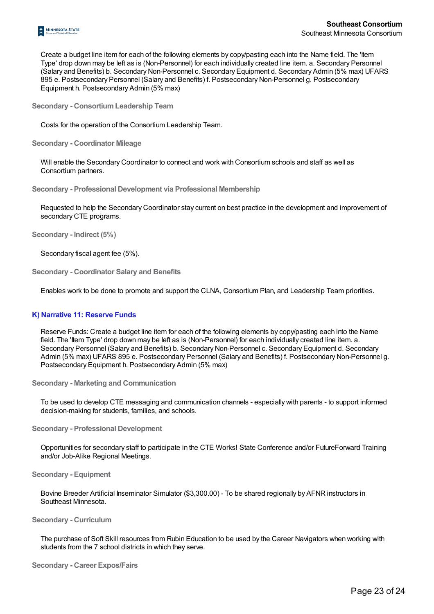

Create a budget line item for each of the following elements by copy/pasting each into the Name field. The 'Item Type' drop down may be left as is (Non-Personnel) for each individually created line item. a. Secondary Personnel (Salary and Benefits) b. Secondary Non-Personnel c. Secondary Equipment d. Secondary Admin (5% max) UFARS 895 e. Postsecondary Personnel (Salary and Benefits) f. Postsecondary Non-Personnel g. Postsecondary Equipment h. Postsecondary Admin (5% max)

**Secondary - ConsortiumLeadership Team**

Costs for the operation of the Consortium Leadership Team.

**Secondary - Coordinator Mileage**

Will enable the Secondary Coordinator to connect and work with Consortium schools and staff as well as Consortium partners.

**Secondary - Professional Development via Professional Membership**

Requested to help the Secondary Coordinator stay current on best practice in the development and improvement of secondary CTE programs.

**Secondary - Indirect (5%)**

Secondary fiscal agent fee (5%).

**Secondary - Coordinator Salary and Benefits**

Enables work to be done to promote and support the CLNA, Consortium Plan, and Leadership Team priorities.

#### **K) Narrative 11: Reserve Funds**

Reserve Funds: Create a budget line item for each of the following elements by copy/pasting each into the Name field. The 'Item Type' drop down may be left as is (Non-Personnel) for each individually created line item. a. Secondary Personnel (Salary and Benefits) b. Secondary Non-Personnel c. Secondary Equipment d. Secondary Admin (5% max) UFARS 895 e. Postsecondary Personnel (Salary and Benefits) f. Postsecondary Non-Personnel g. Postsecondary Equipment h. Postsecondary Admin (5% max)

**Secondary - Marketing and Communication**

To be used to develop CTE messaging and communication channels - especially with parents - to support informed decision-making for students, families, and schools.

**Secondary - Professional Development**

Opportunities for secondary staff to participate in the CTE Works! State Conference and/or FutureForward Training and/or Job-Alike Regional Meetings.

#### **Secondary - Equipment**

Bovine Breeder Artificial Inseminator Simulator (\$3,300.00) - To be shared regionally by AFNR instructors in Southeast Minnesota.

#### **Secondary - Curriculum**

The purchase of Soft Skill resources from Rubin Education to be used by the Career Navigators when working with students from the 7 school districts in which they serve.

**Secondary - Career Expos/Fairs**